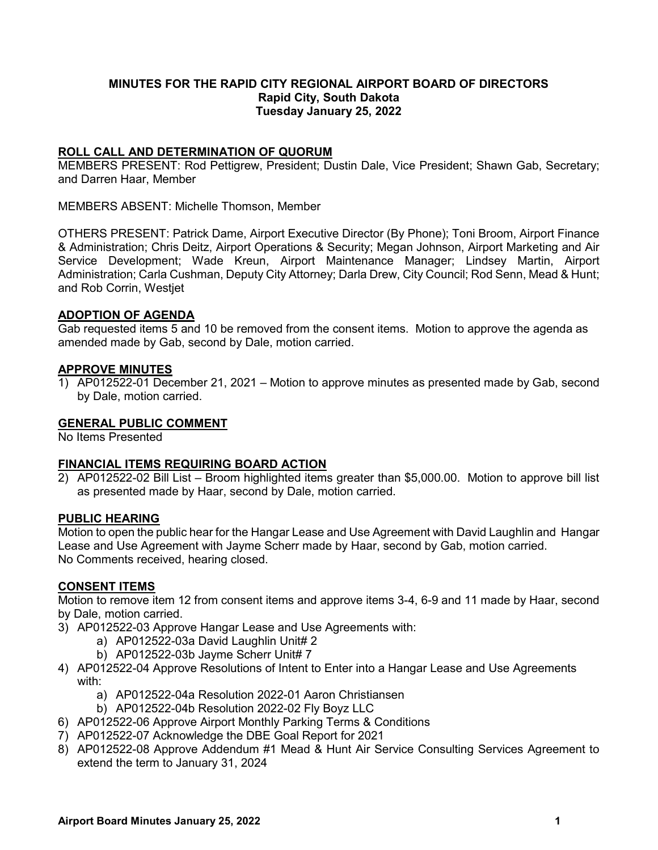# **MINUTES FOR THE RAPID CITY REGIONAL AIRPORT BOARD OF DIRECTORS Rapid City, South Dakota Tuesday January 25, 2022**

# **ROLL CALL AND DETERMINATION OF QUORUM**

MEMBERS PRESENT: Rod Pettigrew, President; Dustin Dale, Vice President; Shawn Gab, Secretary; and Darren Haar, Member

MEMBERS ABSENT: Michelle Thomson, Member

OTHERS PRESENT: Patrick Dame, Airport Executive Director (By Phone); Toni Broom, Airport Finance & Administration; Chris Deitz, Airport Operations & Security; Megan Johnson, Airport Marketing and Air Service Development; Wade Kreun, Airport Maintenance Manager; Lindsey Martin, Airport Administration; Carla Cushman, Deputy City Attorney; Darla Drew, City Council; Rod Senn, Mead & Hunt; and Rob Corrin, Westjet

## **ADOPTION OF AGENDA**

Gab requested items 5 and 10 be removed from the consent items. Motion to approve the agenda as amended made by Gab, second by Dale, motion carried.

#### **APPROVE MINUTES**

1) AP012522-01 December 21, 2021 – Motion to approve minutes as presented made by Gab, second by Dale, motion carried.

#### **GENERAL PUBLIC COMMENT**

No Items Presented

#### **FINANCIAL ITEMS REQUIRING BOARD ACTION**

2) AP012522-02 Bill List – Broom highlighted items greater than \$5,000.00. Motion to approve bill list as presented made by Haar, second by Dale, motion carried.

#### **PUBLIC HEARING**

Motion to open the public hear for the Hangar Lease and Use Agreement with David Laughlin and Hangar Lease and Use Agreement with Jayme Scherr made by Haar, second by Gab, motion carried. No Comments received, hearing closed.

#### **CONSENT ITEMS**

Motion to remove item 12 from consent items and approve items 3-4, 6-9 and 11 made by Haar, second by Dale, motion carried.

- 3) AP012522-03 Approve Hangar Lease and Use Agreements with:
	- a) AP012522-03a David Laughlin Unit# 2
	- b) AP012522-03b Jayme Scherr Unit# 7
- 4) AP012522-04 Approve Resolutions of Intent to Enter into a Hangar Lease and Use Agreements with:
	- a) AP012522-04a Resolution 2022-01 Aaron Christiansen
	- b) AP012522-04b Resolution 2022-02 Fly Boyz LLC
- 6) AP012522-06 Approve Airport Monthly Parking Terms & Conditions
- 7) AP012522-07 Acknowledge the DBE Goal Report for 2021
- 8) AP012522-08 Approve Addendum #1 Mead & Hunt Air Service Consulting Services Agreement to extend the term to January 31, 2024